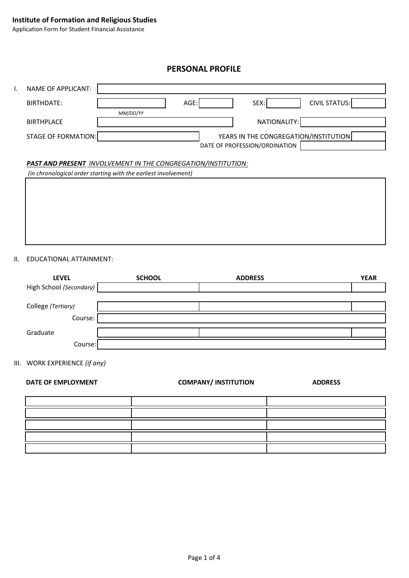# **PERSONAL PROFILE**

| Ι. | NAME OF APPLICANT:                                                                                                               |                                                                        |  |  |  |  |  |
|----|----------------------------------------------------------------------------------------------------------------------------------|------------------------------------------------------------------------|--|--|--|--|--|
|    | BIRTHDATE:                                                                                                                       | <b>CIVIL STATUS:</b><br>AGE:<br>SEX:<br>MM/DD/YY                       |  |  |  |  |  |
|    | <b>BIRTHPLACE</b>                                                                                                                | NATIONALITY:                                                           |  |  |  |  |  |
|    | STAGE OF FORMATION:                                                                                                              | YEARS IN THE CONGREGATION/INSTITUTION<br>DATE OF PROFESSION/ORDINATION |  |  |  |  |  |
|    | PAST AND PRESENT INVOLVEMENT IN THE CONGREGATION/INSTITUTION:<br>(in chronological order starting with the earliest involvement) |                                                                        |  |  |  |  |  |
|    |                                                                                                                                  |                                                                        |  |  |  |  |  |
|    |                                                                                                                                  |                                                                        |  |  |  |  |  |
|    |                                                                                                                                  |                                                                        |  |  |  |  |  |
|    |                                                                                                                                  |                                                                        |  |  |  |  |  |

II. EDUCATIONAL ATTAINMENT:

| <b>LEVEL</b>            | <b>SCHOOL</b> | <b>ADDRESS</b> | <b>YEAR</b> |
|-------------------------|---------------|----------------|-------------|
| High School (Secondary) |               |                |             |
|                         |               |                |             |
| College (Tertiary)      |               |                |             |
| Course:                 |               |                |             |
| Graduate                |               |                |             |
| Course:                 |               |                |             |

III. WORK EXPERIENCE *(if any)*

| DATE OF EMPLOYMENT | <b>COMPANY/INSTITUTION</b> | <b>ADDRESS</b> |
|--------------------|----------------------------|----------------|
|                    |                            |                |
|                    |                            |                |
|                    |                            |                |
|                    |                            |                |
|                    |                            |                |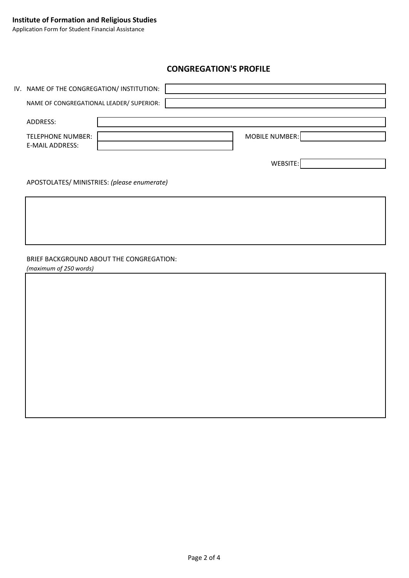# **CONGREGATION'S PROFILE**

| <b>MOBILE NUMBER:</b> |
|-----------------------|
| WEBSITE:              |
|                       |

#### APOSTOLATES/ MINISTRIES: *(please enumerate)*

## BRIEF BACKGROUND ABOUT THE CONGREGATION:

*(maximum of 250 words)*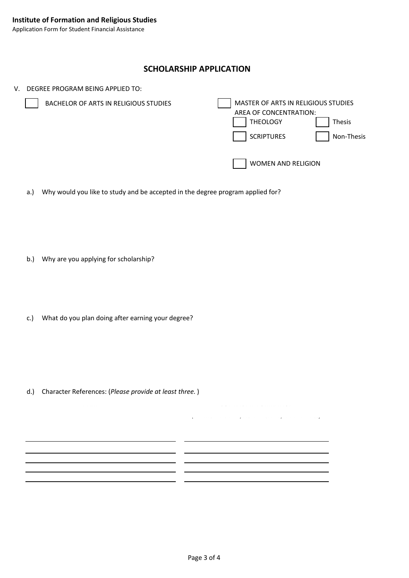## **SCHOLARSHIP APPLICATION**

- V. DEGREE PROGRAM BEING APPLIED TO: MASTER OF ARTS IN RELIGIOUS STUDIES AREA OF CONCENTRATION: THEOLOGY | Thesis SCRIPTURES | Non-Thesis WOMEN AND RELIGION BACHELOR OF ARTS IN RELIGIOUS STUDIES
	- a.) Why would you like to study and be accepted in the degree program applied for?

- b.) Why are you applying for scholarship?
- c.) What do you plan doing after earning your degree?

d.) Character References: (*Please provide at least three.* )

NAME CONTACT INFORMATION

*(TELEPHONE NUMBER, MOBILE NUMBER, EMAIL ADDRESS)*